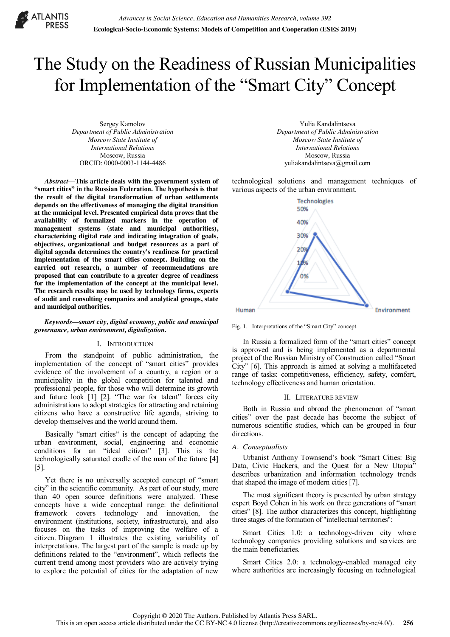

# The Study on the Readiness of Russian Municipalities for Implementation of the "Smart City" Concept

Sergey Kamolov *Department of Public Administration Moscow State Institute of International Relations* Moscow, Russia ORCID: 0000-0003-1144-4486

*Abstract***—This article deals with the government system of "smart cities" in the Russian Federation. The hypothesis is that the result of the digital transformation of urban settlements depends on the effectiveness of managing the digital transition at the municipal level. Presented empirical data proves that the availability of formalized markers in the operation of management systems (state and municipal authorities), characterizing digital rate and indicating integration of goals, objectives, organizational and budget resources as a part of digital agenda determines the country's readiness for practical implementation of the smart cities concept. Building on the carried out research, a number of recommendations are proposed that can contribute to a greater degree of readiness for the implementation of the concept at the municipal level. The research results may be used by technology firms, experts of audit and consulting companies and analytical groups, state and municipal authorities.**

#### *Keywords—smart city, digital economy, public and municipal governance, urban environment, digitalization.*

## I. INTRODUCTION

From the standpoint of public administration, the implementation of the concept of "smart cities" provides evidence of the involvement of a country, a region or a municipality in the global competition for talented and professional people, for those who will determine its growth and future look  $[1]$   $[2]$ . "The war for talent" forces city administrations to adopt strategies for attracting and retaining citizens who have a constructive life agenda, striving to develop themselves and the world around them.

Basically "smart cities" is the concept of adapting the urban environment, social, engineering and economic conditions for an "ideal citizen"  $[3]$ . This is the technologically saturated cradle of the man of the future [4] [5].

Yet there is no universally accepted concept of "smart city" in the scientific community. As part of our study, more than 40 open source definitions were analyzed. These concepts have a wide conceptual range: the definitional framework covers technology and innovation, the environment (institutions, society, infrastructure), and also focuses on the tasks of improving the welfare of a citizen. Diagram 1 illustrates the existing variability of interpretations. The largest part of the sample is made up by definitions related to the "environment", which reflects the current trend among most providers who are actively trying to explore the potential of cities for the adaptation of new

Yulia Kandalintseva *Department of Public Administration Moscow State Institute of International Relations* Moscow, Russia yuliakandalintseva@gmail.com

technological solutions and management techniques of various aspects of the urban environment.



Fig. 1. Interpretations of the "Smart City" concept

In Russia a formalized form of the "smart cities" concept is approved and is being implemented as a departmental project of the Russian Ministry of Construction called "Smart" City" [6]. This approach is aimed at solving a multifaceted range of tasks: competitiveness, efficiency, safety, comfort, technology effectiveness and human orientation.

#### II. LITERATURE REVIEW

Both in Russia and abroad the phenomenon of "smart cities" over the past decade has become the subject of numerous scientific studies, which can be grouped in four directions.

## *A. Conseptualists*

Urbanist Anthony Townsend's book "Smart Cities: Big Data, Civic Hackers, and the Quest for a New Utopia" describes urbanization and information technology trends that shaped the image of modern cities [7].

The most significant theory is presented by urban strategy expert Boyd Cohen in his work on three generations of "smart" cities" [8]. The author characterizes this concept, highlighting three stages of the formation of "intellectual territories":

Smart Cities 1.0: a technology-driven city where technology companies providing solutions and services are the main beneficiaries.

Smart Cities 2.0: a technology-enabled managed city where authorities are increasingly focusing on technological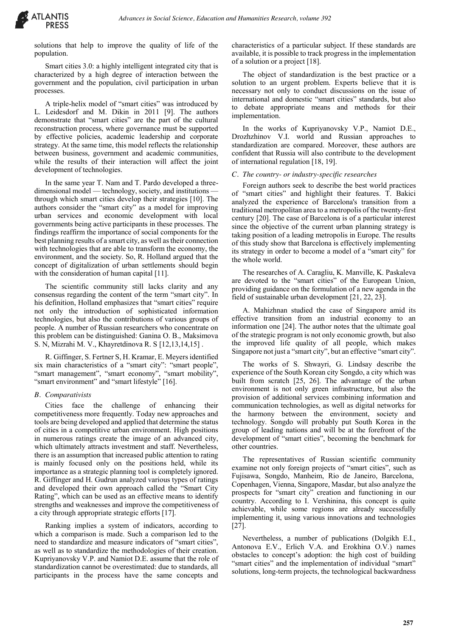

solutions that help to improve the quality of life of the population.

Smart cities 3.0: a highly intelligent integrated city that is characterized by a high degree of interaction between the government and the population, civil participation in urban processes.

A triple-helix model of "smart cities" was introduced by L. Leidesdorf and M. Dikin in 2011 [9]. The authors demonstrate that "smart cities" are the part of the cultural reconstruction process, where governance must be supported by effective policies, academic leadership and corporate strategy. At the same time, this model reflects the relationship between business, government and academic communities, while the results of their interaction will affect the joint development of technologies.

In the same year T. Nam and T. Pardo developed a threedimensional model — technology, society, and institutions through which smart cities develop their strategies [10]. The authors consider the "smart city" as a model for improving urban services and economic development with local governments being active participants in these processes. The findings reaffirm the importance of social components for the best planning results of a smart city, as well as their connection with technologies that are able to transform the economy, the environment, and the society. So, R. Holland argued that the concept of digitalization of urban settlements should begin with the consideration of human capital [11].

The scientific community still lacks clarity and any consensus regarding the content of the term "smart city". In his definition, Holland emphasizes that "smart cities" require not only the introduction of sophisticated information technologies, but also the contributions of various groups of people. A number of Russian researchers who concentrate on this problem can be distinguished: Ganina O. B., Maksimova S. N, Mizrahi M. V., Khayretdinova R. S [12,13,14,15] .

R. Giffinger, S. Fertner S, H. Kramar, E. Meyers identified six main characteristics of a "smart city": "smart people", "smart management", "smart economy", "smart mobility", "smart environment" and "smart lifestyle" [16].

## *B. Comparativists*

Cities face the challenge of enhancing their competitiveness more frequently. Today new approaches and tools are being developed and applied that determine the status of cities in a competitive urban environment. High positions in numerous ratings create the image of an advanced city, which ultimately attracts investment and staff. Nevertheless, there is an assumption that increased public attention to rating is mainly focused only on the positions held, while its importance as a strategic planning tool is completely ignored. R. Giffinger and H. Gudrun analyzed various types of ratings and developed their own approach called the "Smart City Rating", which can be used as an effective means to identify strengths and weaknesses and improve the competitiveness of a city through appropriate strategic efforts [17].

Ranking implies a system of indicators, according to which a comparison is made. Such a comparison led to the need to standardize and measure indicators of "smart cities", as well as to standardize the methodologies of their creation. Kupriyanovsky V.P. and Namiot D.E. assume that the role of standardization cannot be overestimated: due to standards, all participants in the process have the same concepts and

characteristics of a particular subject. If these standards are available, it is possible to track progress in the implementation of a solution or a project [18].

The object of standardization is the best practice or a solution to an urgent problem. Experts believe that it is necessary not only to conduct discussions on the issue of international and domestic "smart cities" standards, but also to debate appropriate means and methods for their implementation.

In the works of Kupriyanovsky V.P., Namiot D.E., Drozhzhinov V.I. world and Russian approaches to standardization are compared. Moreover, these authors are confident that Russia will also contribute to the development of international regulation [18, 19].

## *C. The country- or industry-specific researches*

Foreign authors seek to describe the best world practices of "smart cities" and highlight their features. T. Bakici analyzed the experience of Barcelona's transition from a traditional metropolitan area to a metropolis of the twenty-first century [20]. The case of Barcelona is of a particular interest since the objective of the current urban planning strategy is taking position of a leading metropolis in Europe. The results of this study show that Barcelona is effectively implementing its strategy in order to become a model of a "smart city" for the whole world.

The researches of A. Caragliu, K. Manville, K. Paskaleva are devoted to the "smart cities" of the European Union, providing guidance on the formulation of a new agenda in the field of sustainable urban development [21, 22, 23].

A. Mahizhnan studied the case of Singapore amid its effective transition from an industrial economy to an information one [24]. The author notes that the ultimate goal of the strategic program is not only economic growth, but also the improved life quality of all people, which makes Singapore not just a "smart city", but an effective "smart city".

The works of S. Shwayri, G. Lindsay describe the experience of the South Korean city Songdo, a city which was built from scratch [25, 26]. The advantage of the urban environment is not only green infrastructure, but also the provision of additional services combining information and communication technologies, as well as digital networks for the harmony between the environment, society and technology. Songdo will probably put South Korea in the group of leading nations and will be at the forefront of the development of "smart cities", becoming the benchmark for other countries.

The representatives of Russian scientific community examine not only foreign projects of "smart cities", such as Fujisawa, Songdo, Manheim, Rio de Janeiro, Barcelona, Copenhagen, Vienna, Singapore, Masdar, but also analyze the prospects for "smart city" creation and functioning in our country. According to I. Vershinina, this concept is quite achievable, while some regions are already successfully implementing it, using various innovations and technologies [27].

Nevertheless, a number of publications (Dolgikh E.I., Antonova E.V., Erlich V.A. and Erokhina O.V.) names obstacles to concept's adoption: the high cost of building "smart cities" and the implementation of individual "smart" solutions, long-term projects, the technological backwardness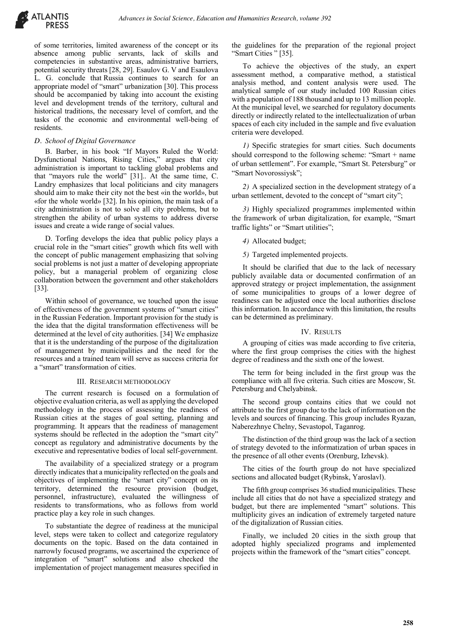of some territories, limited awareness of the concept or its absence among public servants, lack of skills and competencies in substantive areas, administrative barriers, potential security threats [28, 29]. Esaulov G. V and Esaulova L. G. conclude that Russia continues to search for an appropriate model of "smart" urbanization [30]. This process should be accompanied by taking into account the existing level and development trends of the territory, cultural and historical traditions, the necessary level of comfort, and the tasks of the economic and environmental well-being of residents.

## *D. School of Digital Governance*

B. Barber, in his book "If Mayors Ruled the World: Dysfunctional Nations, Rising Cities," argues that city administration is important to tackling global problems and that "mayors rule the world" [31].. At the same time, C. Landry emphasizes that local politicians and city managers should aim to make their city not the best «in the world», but «for the whole world» [32]. In his opinion, the main task of a city administration is not to solve all city problems, but to strengthen the ability of urban systems to address diverse issues and create a wide range of social values.

D. Torfing develops the idea that public policy plays a crucial role in the "smart cities" growth which fits well with the concept of public management emphasizing that solving social problems is not just a matter of developing appropriate policy, but a managerial problem of organizing close collaboration between the government and other stakeholders [33].

Within school of governance, we touched upon the issue of effectiveness of the government systems of "smart cities" in the Russian Federation. Important provision for the study is the idea that the digital transformation effectiveness will be determined at the level of city authorities. [34] We emphasize that it is the understanding of the purpose of the digitalization of management by municipalities and the need for the resources and a trained team will serve as success criteria for a "smart" transformation of cities.

## III. RESEARCH METHODOLOGY

The current research is focused on a formulation of objective evaluation criteria, as well as applying the developed methodology in the process of assessing the readiness of Russian cities at the stages of goal setting, planning and programming. It appears that the readiness of management systems should be reflected in the adoption the "smart city" concept as regulatory and administrative documents by the executive and representative bodies of local self-government.

The availability of a specialized strategy or a program directly indicates that a municipality reflected on the goals and objectives of implementing the "smart city" concept on its territory, determined the resource provision (budget, personnel, infrastructure), evaluated the willingness of residents to transformations, who as follows from world practice play a key role in such changes.

To substantiate the degree of readiness at the municipal level, steps were taken to collect and categorize regulatory documents on the topic. Based on the data contained in narrowly focused programs, we ascertained the experience of integration of "smart" solutions and also checked the implementation of project management measures specified in the guidelines for the preparation of the regional project "Smart Cities" [35].

To achieve the objectives of the study, an expert assessment method, a comparative method, a statistical analysis method, and content analysis were used. The analytical sample of our study included 100 Russian cities with a population of 188 thousand and up to 13 million people. At the municipal level, we searched for regulatory documents directly or indirectly related to the intellectualization of urban spaces of each city included in the sample and five evaluation criteria were developed.

*1)* Specific strategies for smart cities. Such documents should correspond to the following scheme: "Smart + name of urban settlement". For example, "Smart St. Petersburg" or "Smart Novorossiysk";

*2)* A specialized section in the development strategy of a urban settlement, devoted to the concept of "smart city";

*3)* Highly specialized programmes implemented within the framework of urban digitalization, for example, "Smart traffic lights" or "Smart utilities";

*4)* Allocated budget;

*5)* Targeted implemented projects.

It should be clarified that due to the lack of necessary publicly available data or documented confirmation of an approved strategy or project implementation, the assignment of some municipalities to groups of a lower degree of readiness can be adjusted once the local authorities disclose this information. In accordance with this limitation, the results can be determined as preliminary.

## IV. RESULTS

A grouping of cities was made according to five criteria, where the first group comprises the cities with the highest degree of readiness and the sixth one of the lowest.

The term for being included in the first group was the compliance with all five criteria. Such cities are Moscow, St. Petersburg and Chelyabinsk.

The second group contains cities that we could not attribute to the first group due to the lack of information on the levels and sources of financing. This group includes Ryazan, Naberezhnye Chelny, Sevastopol, Taganrog.

The distinction of the third group was the lack of a section of strategy devoted to the informatization of urban spaces in the presence of all other events (Orenburg, Izhevsk).

The cities of the fourth group do not have specialized sections and allocated budget (Rybinsk, Yaroslavl).

The fifth group comprises 36 studied municipalities. These include all cities that do not have a specialized strategy and budget, but there are implemented "smart" solutions. This multiplicity gives an indication of extremely targeted nature of the digitalization of Russian cities.

Finally, we included 20 cities in the sixth group that adopted highly specialized programs and implemented projects within the framework of the "smart cities" concept.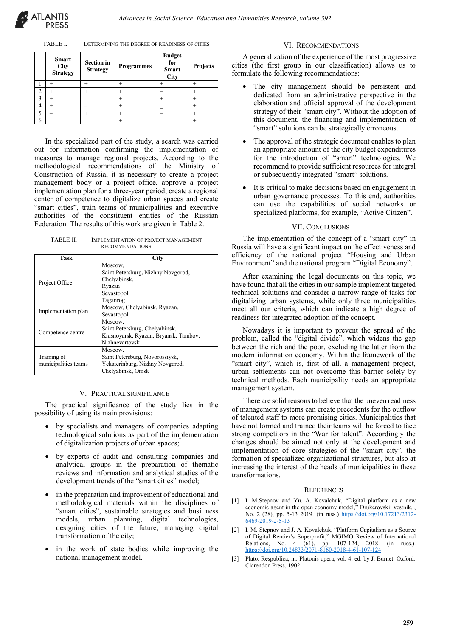#### TABLE I. DETERMINING THE DEGREE OF READINESS OF CITIES

|   | <b>Smart</b><br><b>City</b><br><b>Strategy</b> | <b>Section</b> in<br><b>Strategy</b> | <b>Programmes</b> | <b>Budget</b><br>for<br><b>Smart</b><br><b>City</b> | Projects |
|---|------------------------------------------------|--------------------------------------|-------------------|-----------------------------------------------------|----------|
|   |                                                |                                      |                   |                                                     |          |
| າ |                                                |                                      |                   |                                                     |          |
| 2 |                                                |                                      |                   |                                                     |          |
| 4 |                                                |                                      |                   |                                                     |          |
| ς |                                                |                                      |                   |                                                     |          |
| 6 |                                                |                                      |                   |                                                     |          |

In the specialized part of the study, a search was carried out for information confirming the implementation of measures to manage regional projects. According to the methodological recommendations of the Ministry of Construction of Russia, it is necessary to create a project management body or a project office, approve a project implementation plan for a three-year period, create a regional center of competence to digitalize urban spaces and create "smart cities", train teams of municipalities and executive authorities of the constituent entities of the Russian Federation. The results of this work are given in Table 2.

TABLE II. IMPLEMENTATION OF PROJECT MANAGEMENT RECOMMENDATIONS

| Task                                                              | City                                                                                                 |
|-------------------------------------------------------------------|------------------------------------------------------------------------------------------------------|
| Project Office                                                    | Moscow,<br>Saint Petersburg, Nizhny Novgorod,<br>Chelyabinsk,<br>Ryazan<br>Sevastopol<br>Taganrog    |
| Moscow, Chelyabinsk, Ryazan,<br>Implementation plan<br>Sevastopol |                                                                                                      |
| Competence centre                                                 | Moscow,<br>Saint Petersburg, Chelyabinsk,<br>Krasnoyarsk, Ryazan, Bryansk, Tambov,<br>Nizhnevartovsk |
| Training of<br>municipalities teams                               | Moscow,<br>Saint Petersburg, Novorossiysk,<br>Yekaterinburg, Nizhny Novgorod,<br>Chelyabinsk, Omsk   |

#### V. PRACTICAL SIGNIFICANCE

The practical significance of the study lies in the possibility of using its main provisions:

- by specialists and managers of companies adapting technological solutions as part of the implementation of digitalization projects of urban spaces;
- by experts of audit and consulting companies and analytical groups in the preparation of thematic reviews and information and analytical studies of the development trends of the "smart cities" model;
- in the preparation and improvement of educational and methodological materials within the disciplines of "smart cities", sustainable strategies and busi ness models, urban planning, digital technologies, designing cities of the future, managing digital transformation of the city;
- in the work of state bodies while improving the national management model.

## VI. RECOMMENDATIONS

A generalization of the experience of the most progressive cities (the first group in our classification) allows us to formulate the following recommendations:

- The city management should be persistent and dedicated from an administrative perspective in the elaboration and official approval of the development strategy of their "smart city". Without the adoption of this document, the financing and implementation of "smart" solutions can be strategically erroneous.
- The approval of the strategic document enables to plan an appropriate amount of the city budget expenditures for the introduction of "smart" technologies. We recommend to provide sufficient resources for integral or subsequently integrated "smart" solutions.
- It is critical to make decisions based on engagement in urban governance processes. To this end, authorities can use the capabilities of social networks or specialized platforms, for example, "Active Citizen".

## VII. CONCLUSIONS

The implementation of the concept of a "smart city" in Russia will have a significant impact on the effectiveness and efficiency of the national project "Housing and Urban Environment" and the national program "Digital Economy".

After examining the legal documents on this topic, we have found that all the cities in our sample implement targeted technical solutions and consider a narrow range of tasks for digitalizing urban systems, while only three municipalities meet all our criteria, which can indicate a high degree of readiness for integrated adoption of the concept.

Nowadays it is important to prevent the spread of the problem, called the "digital divide", which widens the gap between the rich and the poor, excluding the latter from the modern information economy. Within the framework of the "smart city", which is, first of all, a management project, urban settlements can not overcome this barrier solely by technical methods. Each municipality needs an appropriate management system.

There are solid reasons to believe that the uneven readiness of management systems can create precedents for the outflow of talented staff to more promising cities. Municipalities that have not formed and trained their teams will be forced to face strong competitors in the "War for talent". Accordingly the changes should be aimed not only at the development and implementation of core strategies of the "smart city", the formation of specialized organizational structures, but also at increasing the interest of the heads of municipalities in these transformations.

#### **REFERENCES**

- [1] I. M.Stepnov and Yu. A. Kovalchuk, "Digital platform as a new economic agent in the open economy model," Drukerovskij vestnik, , No. 2 (28), pp. 5-13 2019. (in russ.) https://doi.org/10.17213/2312-6469-2019-2-5-13
- [2] I. M. Stepnov and J. A. Kovalchuk, "Platform Capitalism as a Source of Digital Rentier's Superprofit," MGIMO Review of International Relations, No. 4 (61), pp. 107-124, 2018. (in russ.). https://doi.org/10.24833/2071-8160-2018-4-61-107-124
- [3] Plato. Respublica, in: Platonis opera, vol. 4, ed. by J. Burnet. Oxford: Clarendon Press, 1902.